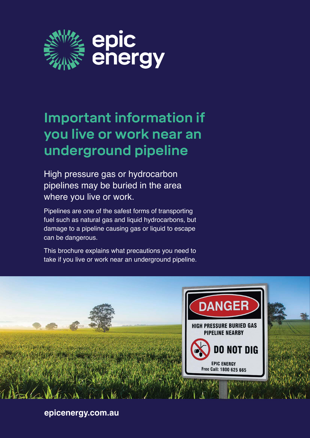

# **Important information if you live or work near an underground pipeline**

High pressure gas or hydrocarbon pipelines may be buried in the area where you live or work.

Pipelines are one of the safest forms of transporting fuel such as natural gas and liquid hydrocarbons, but damage to a pipeline causing gas or liquid to escape can be dangerous.

This brochure explains what precautions you need to take if you live or work near an underground pipeline.



**epicenergy.com.au**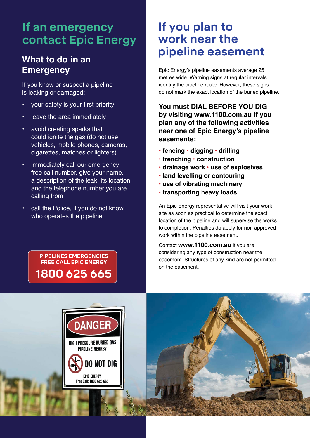## **If an emergency contact Epic Energy**

### **What to do in an Emergency**

If you know or suspect a pipeline is leaking or damaged:

- your safety is your first priority
- leave the area immediately
- avoid creating sparks that could ignite the gas (do not use vehicles, mobile phones, cameras, cigarettes, matches or lighters)
- immediately call our emergency free call number, give your name, a description of the leak, its location and the telephone number you are calling from
- call the Police, if you do not know who operates the pipeline

**PIPELINES EMERGENCIES FREE CALL EPIC ENERGY 1800 625 665**

### **If you plan to work near the pipeline easement**

Epic Energy's pipeline easements average 25 metres wide. Warning signs at regular intervals identify the pipeline route. However, these signs do not mark the exact location of the buried pipeline.

**You must DIAL BEFORE YOU DIG by visiting www.1100.com.au if you plan any of the following activities near one of Epic Energy's pipeline easements:**

- **fencing digging drilling**
- **trenching construction**
- **drainage work use of explosives**
- **land levelling or contouring**
- **use of vibrating machinery**
- **transporting heavy loads**

An Epic Energy representative will visit your work site as soon as practical to determine the exact location of the pipeline and will supervise the works to completion. Penalties do apply for non approved work within the pipeline easement.

Contact **www.1100.com.au** if you are considering any type of construction near the easement. Structures of any kind are not permitted on the easement.

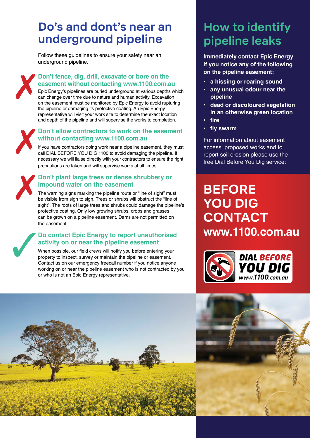## **Do's and dont's near an underground pipeline**

Follow these guidelines to ensure your safety near an underground pipeline.



#### **Don't fence, dig, drill, excavate or bore on the easement without contacting www.1100.com.au**

Epic Energy's pipelines are buried underground at various depths which can change over time due to nature and human activity. Excavation on the easement must be monitored by Epic Energy to avoid rupturing the pipeline or damaging its protective coating. An Epic Energy representative will visit your work site to determine the exact location and depth of the pipeline and will supervise the works to completion.



#### **Don't allow contractors to work on the easement without contacting www.1100.com.au**

If you have contractors doing work near a pipeline easement, they must call DIAL BEFORE YOU DIG 1100 to avoid damaging the pipeline. If necessary we will liaise directly with your contractors to ensure the right precautions are taken and will supervise works at all times.

### $\boldsymbol{X}$ **Don't plant large trees or dense shrubbery or impound water on the easement**

The warning signs marking the pipeline route or "line of sight" must be visible from sign to sign. Trees or shrubs will obstruct the "line of sight". The roots of large trees and shrubs could damage the pipeline's protective coating. Only low growing shrubs, crops and grasses can be grown on a pipeline easement. Dams are not permitted on the easement.

### $\sqrt{2}$ **Do contact Epic Energy to report unauthorised activity on or near the pipeline easement**

When possible, our field crews will notify you before entering your property to inspect, survey or maintain the pipeline or easement. Contact us on our emergency freecall number if you notice anyone working on or near the pipeline easement who is not contracted by you or who is not an Epic Energy representative.

## **How to identify pipeline leaks**

**Immediately contact Epic Energy if you notice any of the following on the pipeline easement:**

- **a hissing or roaring sound**
- **any unusual odour near the pipeline**
- **dead or discoloured vegetation in an otherwise green location • fire**
- 
- **fly swarm**

For information about easement access, proposed works and to report soil erosion please use the free Dial Before You Dig service:

## **BEFORE YOU DIG CONTACT www.1100.com.au**